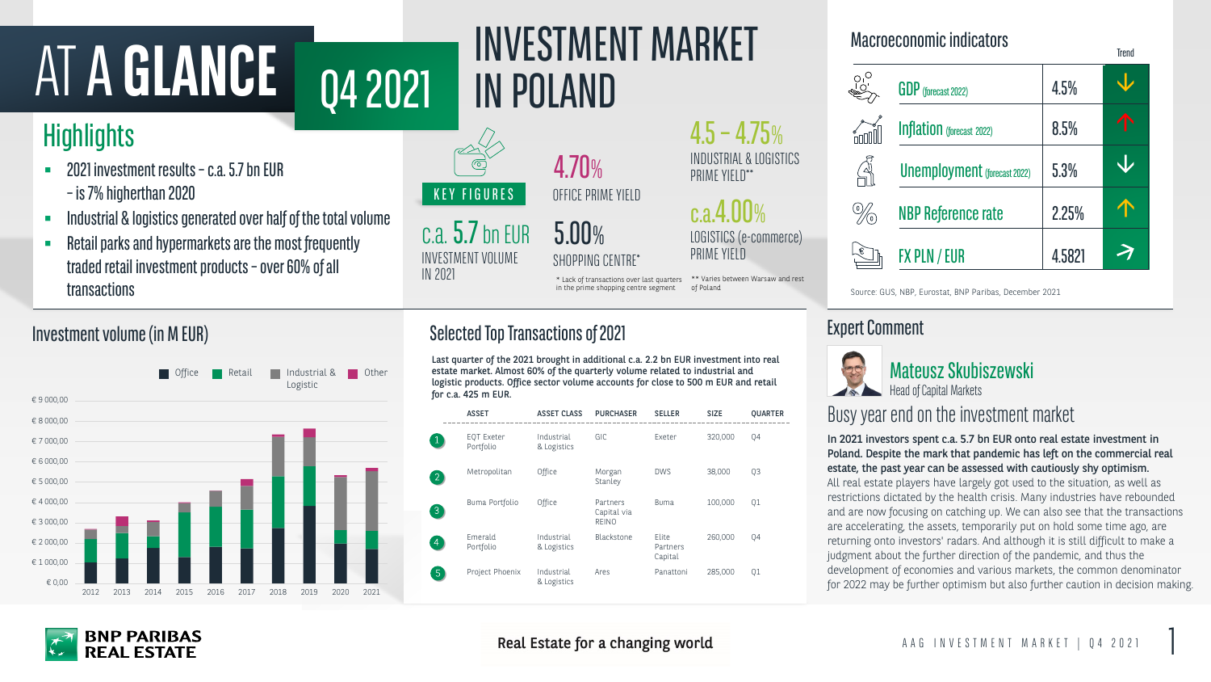# AT A GLANCE 04 2021 INVESTMENT MARKET

# **Highlights**

 $c.a.5.7$  bn EUR INVESTMENT VOLUME IN 2021

c.a.4.00% LOGISTICS (e-commerce) PRIME YIELD



In 2021 investors spent c.a. 5.7 bn EUR onto real estate investment in Poland. Despite the mark that pandemic has left on the commercial real estate, the past year can be assessed with cautiously shy optimism. All real estate players have largely got used to the situation, as well as restrictions dictated by the health crisis. Many industries have rebounded and are now focusing on catching up. We can also see that the transactions are accelerating, the assets, temporarily put on hold some time ago, are returning onto investors' radars. And although it is still difficult to make a judgment about the further direction of the pandemic, and thus the development of economies and various markets, the common denominator for 2022 may be further optimism but also further caution in decision making.

- 2021 investment results  $-$  c.a. 5.7 bn EUR –is 7% higherthan 2020
- Industrial & logistics generated over half of the total volume
- Retail parks and hypermarkets are the most frequently traded retail investment products  $-$  over 60% of all transactions

Last quarter of the 2021 brought in additional c.a. 2.2 bn EUR investment Other East quarter by the 2021 brought in additional C.a. 2.2 on EOR investment into reat<br>Other estate market. Almost 60% of the quarterly volume related to industrial and **Alman C.A. Alman C.A. Alman C.A.** Company of the logistic products. Office sector volume accounts for close to 500 m EU for c.a. 425 m EUR.

#### Expert Comment



#### Macroeconomic indicators

**Trend** 

| <b>GDP</b> (forecast 2022)          | 4.5%   |   |
|-------------------------------------|--------|---|
| <b>Inflation</b> (forecast 2022)    | 8.5%   | T |
| <b>Unemployment</b> (forecast 2022) | 5.3%   |   |
| <b>NBP Reference rate</b>           | 2.25%  |   |
| FX PLN / EUR                        | 4.5821 |   |

in the prime shopping centre segment of Poland Source: GUS, NBP, Eurostat, BNP Paribas, December 2021

#### Investment volume (in M EUR)

4.70% OFFICE PRIME YIELD

5.00% SHOPPING CENTRE\*

### Busy year end on the investment market

\*\* Varies between Warsaw and rest

| ent into real |  |
|---------------|--|
| al and        |  |
| R and retail  |  |

of Poland

### Selected Top Transactions of 2021

|                | <b>ASSET</b>            | <b>ASSET CLASS</b>        | <b>PURCHASER</b>                        | <b>SELLER</b>                | <b>SIZE</b> | <b>QUARTER</b> |
|----------------|-------------------------|---------------------------|-----------------------------------------|------------------------------|-------------|----------------|
|                | EQT Exeter<br>Portfolio | Industrial<br>& Logistics | GIC                                     | Exeter                       | 320,000     | Q4             |
| 2              | Metropolitan            | Office                    | Morgan<br>Stanley                       | <b>DWS</b>                   | 38,000      | Q3             |
| $\overline{3}$ | Buma Portfolio          | Office                    | Partners<br>Capital via<br><b>REINO</b> | <b>Buma</b>                  | 100,000     | Q1             |
| 4              | Emerald<br>Portfolio    | Industrial<br>& Logistics | Blackstone                              | Elite<br>Partners<br>Capital | 260,000     | Q4             |
| $\overline{5}$ | Project Phoenix         | Industrial<br>& Logistics | Ares                                    | Panattoni                    | 285,000     | Q1             |

Real Estate for a changing world



#### $4.5 - 4.75%$ INDUSTRIAL & LOGISTICS PRIME YIELD\*\*

\* Lack of transactions over last quarters

Head of Capital Markets